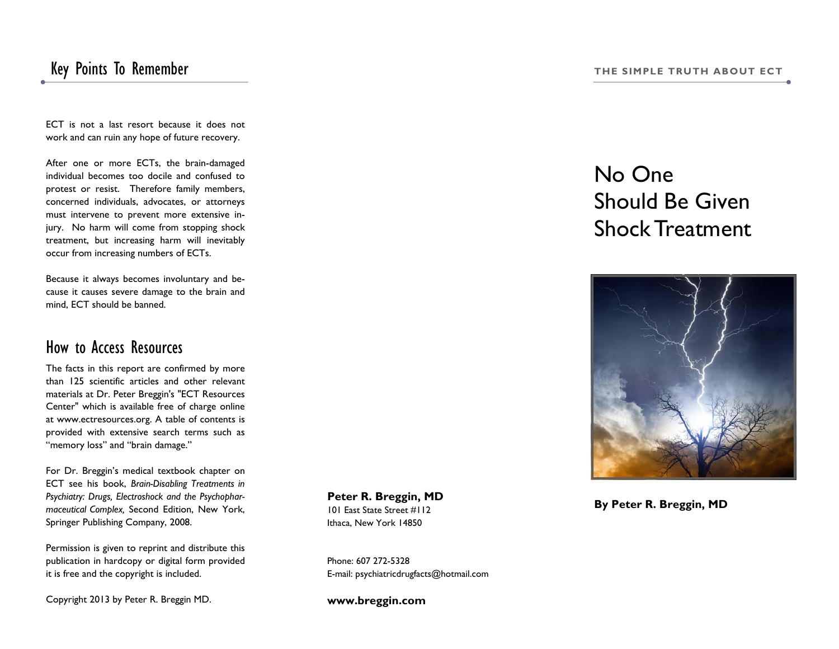### Key Points To Remember **The SIMPLE TRUTH ABOUT ECT**

ECT is not a last resort because it does not work and can ruin any hope of future recovery.

After one or more ECTs, the brain-damaged individual becomes too docile and confused to protest or resist. Therefore family members, concerned individuals, advocates, or attorneys must intervene to prevent more extensive injury. No harm will come from stopping shock treatment, but increasing harm will inevitably occur from increasing numbers of ECTs.

Because it always becomes involuntary and because it causes severe damage to the brain and mind, ECT should be banned.

#### How to Access Resources

The facts in this report are confirmed by more than 125 scientific articles and other relevant materials at Dr. Peter Breggin's "ECT Resources Center" which is available free of charge online at www.ectresources.org. A table of contents is provided with extensive search terms such as "memory loss" and "brain damage."

For Dr. Breggin's medical textbook chapter on ECT see his book, *Brain-Disabling Treatments in Psychiatry: Drugs, Electroshock and the Psychopharmaceutical Complex,* Second Edition, New York, Springer Publishing Company, 2008.

Permission is given to reprint and distribute this publication in hardcopy or digital form provided it is free and the copyright is included.

Copyright 2013 by Peter R. Breggin MD.

**Peter R. Breggin, MD**  101 East State Street #112 Ithaca, New York 14850

Phone: 607 272-5328 E-mail: psychiatricdrugfacts@hotmail.com

**www.breggin.com** 

# No One Should Be Given Shock Treatment



**By Peter R. Breggin, MD**